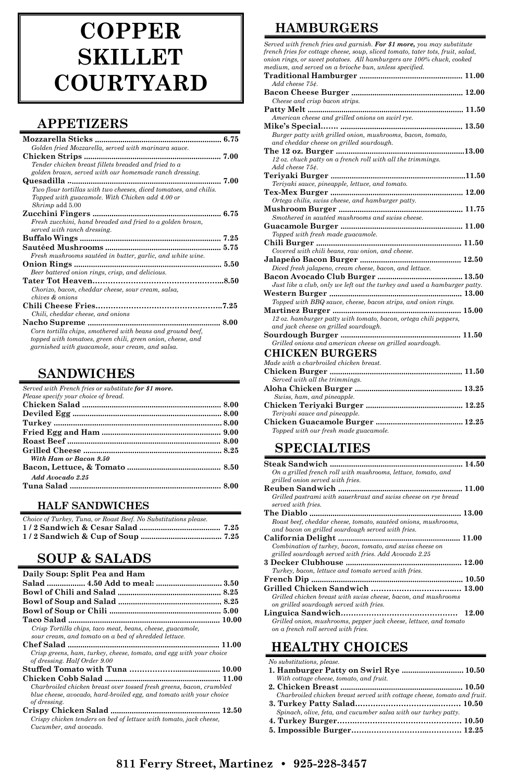# **COPPER SKILLET COURTYARD**

#### **APPETIZERS**

| Golden fried Mozzarella, served with marinara sauce.              |      |
|-------------------------------------------------------------------|------|
|                                                                   |      |
| Tender chicken breast fillets breaded and fried to a              |      |
| golden brown, served with our homemade ranch dressing.            |      |
|                                                                   | 7.00 |
| Two flour tortillas with two cheeses, diced tomatoes, and chilis. |      |
| Topped with guacamole. With Chicken add 4.00 or                   |      |
| <i>Shrimp</i> add 5.00                                            |      |
|                                                                   |      |
| Fresh zucchini, hand breaded and fried to a golden brown,         |      |
| served with ranch dressing.                                       |      |
|                                                                   |      |
|                                                                   |      |
| Fresh mushrooms sautéed in butter, garlic, and white wine.        |      |
|                                                                   |      |
| Beer battered onion rings, crisp, and delicious.                  |      |
|                                                                   |      |
| Chorizo, bacon, cheddar cheese, sour cream, salsa,                |      |
| <i>chives &amp; onions</i>                                        |      |
|                                                                   |      |
| Chili, cheddar cheese, and onions                                 |      |
|                                                                   |      |
| Corn tortilla chips, smothered with beans and ground beef,        |      |
| topped with tomatoes, green chili, green onion, cheese, and       |      |
| garnished with guacamole, sour cream, and salsa.                  |      |

#### **SANDWICHES**

| Served with French fries or substitute for \$1 more. |  |
|------------------------------------------------------|--|
| Please specify your choice of bread.                 |  |
|                                                      |  |
|                                                      |  |
|                                                      |  |
|                                                      |  |
|                                                      |  |
|                                                      |  |
| With Ham or Bacon 9.50                               |  |
|                                                      |  |
| Add Avocado 2.25                                     |  |
|                                                      |  |
|                                                      |  |

#### **HALF SANDWICHES**

| Choice of Turkey, Tuna, or Roast Beef. No Substitutions please. |  |
|-----------------------------------------------------------------|--|
|                                                                 |  |
|                                                                 |  |

#### **SOUP & SALADS**

| Daily Soup: Split Pea and Ham                                        |  |
|----------------------------------------------------------------------|--|
|                                                                      |  |
|                                                                      |  |
|                                                                      |  |
|                                                                      |  |
|                                                                      |  |
| Crisp Tortilla chips, taco meat, beans, cheese, guacamole,           |  |
| sour cream, and tomato on a bed of shredded lettuce.                 |  |
|                                                                      |  |
| Crisp greens, ham, turkey, cheese, tomato, and egg with your choice  |  |
| of dressing. Half Order 9.00                                         |  |
|                                                                      |  |
|                                                                      |  |
| Charbroiled chicken breast over tossed fresh greens, bacon, crumbled |  |
| blue cheese, avocado, hard-broiled egg, and tomato with your choice  |  |
| of dressing.                                                         |  |
|                                                                      |  |
| Crispy chicken tenders on bed of lettuce with tomato, jack cheese,   |  |
| Cucumber, and avocado.                                               |  |

## **HAMBURGERS**

*Served with french fries and garnish. For \$1 more, you may substitute french fries for cottage cheese, soup, sliced tomato, tater tots, fruit, salad, onion rings, or sweet potatoes. All hamburgers are 100% chuck, cooked medium, and served on a brioche bun, unless specified.* **Traditional Hamburger 11.00** *Add cheese 75¢.* **Bacon Cheese Burger 12.00** *Cheese and crisp bacon strips.* **Patty Melt 11.50** *American cheese and grilled onions on swirl rye.* **Mike's Special……. 13.50** *Burger patty with grilled onion, mushrooms, bacon, tomato, and cheddar cheese on grilled sourdough.* **The 12 oz. Burger 13.00** *12 oz. chuck patty on a french roll with all the trimmings. Add cheese 75¢.* **Teriyaki Burger 11.50** *Teriyaki sauce, pineapple, lettuce, and tomato.* **Tex-Mex Burger 12.00**  *Ortega chilis, swiss cheese, and hamburger patty.* **Mushroom Burger 11.75** *Smothered in sautéed mushrooms and swiss cheese.* **Guacamole Burger 11.00** *Topped with fresh made guacamole.* **Chili Burger 11.50** *Covered with chili beans, raw onion, and cheese.*  **Jalapeño Bacon Burger 12.50**  *Diced fresh jalapeno, cream cheese, bacon, and lettuce.* **Bacon Avocado Club Burger ........................................ 13.50** *Just like a club, only we left out the turkey and used a hamburger patty.* **Western Burger 13.00** *Topped with BBQ sauce, cheese, bacon strips, and onion rings.* **Martinez Burger 15.00** *12 oz. hamburger patty with tomato, bacon, ortega chili peppers, and jack cheese on grilled sourdough.*  **Sourdough Burger 11.50** *Grilled onions and american cheese on grilled sourdough.* **CHICKEN BURGERS** *Made with a charbroiled chicken breast.*

| Made with a charbroiled chicken breast. |  |
|-----------------------------------------|--|
|                                         |  |
| Served with all the trimmings.          |  |
|                                         |  |
| Swiss, ham, and pineapple.              |  |
|                                         |  |
| Teriyaki sauce and pineapple.           |  |
|                                         |  |
| Topped with our fresh made guacamole.   |  |
|                                         |  |

#### **SPECIALTIES**

|                                                                | 14.50 |
|----------------------------------------------------------------|-------|
| On a grilled french roll with mushrooms, lettuce, tomato, and  |       |
| grilled onion served with fries.                               |       |
|                                                                |       |
| Grilled pastrami with sauerkraut and swiss cheese on rye bread |       |
| served with fries.                                             |       |
|                                                                |       |
| Roast beef, cheddar cheese, tomato, sautéed onions, mushrooms, |       |
| and bacon on grilled sourdough served with fries.              |       |
|                                                                |       |
| Combination of turkey, bacon, tomato, and swiss cheese on      |       |
| grilled sourdough served with fries. Add Avocado 2.25          |       |
|                                                                |       |
| Turboy basen lettuse and tempts senied with frize              |       |

| Turkey, bacon, lettuce and tomato served with fries.              |  |
|-------------------------------------------------------------------|--|
|                                                                   |  |
|                                                                   |  |
| Grilled chicken breast with swiss cheese, bacon, and mushrooms    |  |
| on grilled sourdough served with fries.                           |  |
|                                                                   |  |
| Grilled onion, mushrooms, pepper jack cheese, lettuce, and tomato |  |
| on a french roll served with fries.                               |  |
|                                                                   |  |
| <b>IID AT MIIV AILOIADA</b>                                       |  |

#### HEALTHY CHOICES

*No substitutions, please.*

| With cottage cheese, tomato, and fruit. |  |
|-----------------------------------------|--|

- **2. Chicken Breast 10.50** *Charbroiled chicken breast served with cottage cheese, tomato and fruit.*
- **3. Turkey Patty Salad…………………………...……… 10.50**  *Spinach, olive, feta, and cucumber salsa with our turkey patty.*
- **4. Turkey Burger…….…………………………………… 10.50**
- **5. Impossible Burger…….…………………...…………. 12.25**

#### **811 Ferry Street, Martinez • 925-228-3457**